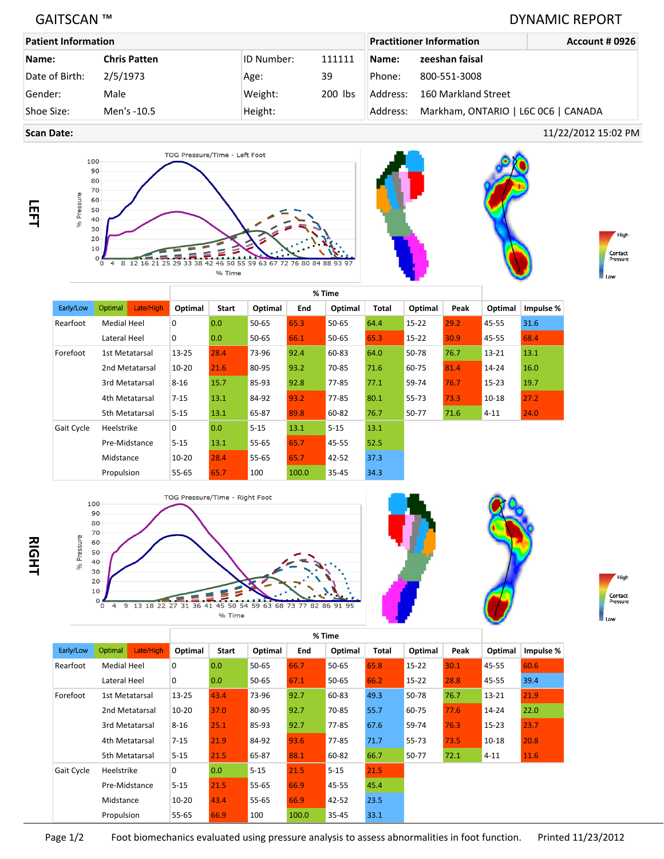## GAITSCAN ™ DYNAMIC REPORT

| <b>Patient Information</b> |                     |                   | <b>Practitioner Information</b> | <b>Account # 0926</b> |                                     |  |
|----------------------------|---------------------|-------------------|---------------------------------|-----------------------|-------------------------------------|--|
| Name:                      | <b>Chris Patten</b> | <b>ID Number:</b> | 111111                          | Name:                 | zeeshan faisal                      |  |
| Date of Birth:             | 2/5/1973            | Age:              | 39                              | Phone:                | 800-551-3008                        |  |
| Gender:                    | Male                | Weight:           | 200 lbs                         | Address:              | 160 Markland Street                 |  |
| Shoe Size:                 | Men's -10.5         | Height:           |                                 | Address:              | Markham, ONTARIO   L6C 0C6   CANADA |  |

**Scan Date:** 11/22/2012 15:02 PM





|            |                |                | % Time    |       |           |       |           |       |           |      |           |           |
|------------|----------------|----------------|-----------|-------|-----------|-------|-----------|-------|-----------|------|-----------|-----------|
| Early/Low  | Optimal        | Late/High      | Optimal   | Start | Optimal   | End   | Optimal   | Total | Optimal   | Peak | Optimal   | Impulse % |
| Rearfoot   | Medial Heel    |                | 0         | 0.0   | $50 - 65$ | 65.3  | $50 - 65$ | 64.4  | $15 - 22$ | 29.2 | 45-55     | 31.6      |
|            | Lateral Heel   |                | 0         | 0.0   | 50-65     | 66.1  | 50-65     | 65.3  | $15 - 22$ | 30.9 | 45-55     | 68.4      |
| Forefoot   | 1st Metatarsal |                | $13 - 25$ | 28.4  | 73-96     | 92.4  | 60-83     | 64.0  | 50-78     | 76.7 | $13 - 21$ | 13.1      |
|            | 2nd Metatarsal |                | $10 - 20$ | 21.6  | 80-95     | 93.2  | 70-85     | 71.6  | 60-75     | 81.4 | 14-24     | 16.0      |
|            |                | 3rd Metatarsal | $8 - 16$  | 15.7  | 85-93     | 92.8  | 77-85     | 77.1  | 59-74     | 76.7 | 15-23     | 19.7      |
|            |                | 4th Metatarsal | $7 - 15$  | 13.1  | 84-92     | 93.2  | 77-85     | 80.1  | 55-73     | 73.3 | $10 - 18$ | 27.2      |
|            |                | 5th Metatarsal | $5 - 15$  | 13.1  | 65-87     | 89.8  | 60-82     | 76.7  | 50-77     | 71.6 | $4 - 11$  | 24.0      |
| Gait Cycle | Heelstrike     |                | 0         | 0.0   | $5 - 15$  | 13.1  | $5 - 15$  | 13.1  |           |      |           |           |
|            |                | Pre-Midstance  | $5 - 15$  | 13.1  | $55 - 65$ | 65.7  | 45-55     | 52.5  |           |      |           |           |
|            | Midstance      |                | $10 - 20$ | 28.4  | $55 - 65$ | 65.7  | $42 - 52$ | 37.3  |           |      |           |           |
|            | Propulsion     |                | 55-65     | 65.7  | 100       | 100.0 | 35-45     | 34.3  |           |      |           |           |







|                            |                                  |               | % Time    |       |           |       |           |              |           |           |           |           |
|----------------------------|----------------------------------|---------------|-----------|-------|-----------|-------|-----------|--------------|-----------|-----------|-----------|-----------|
| Early/Low                  | Optimal                          | Late/High     | Optimal   | Start | Optimal   | End   | Optimal   | <b>Total</b> | Optimal   | Peak      | Optimal   | Impulse % |
| Rearfoot                   | <b>Medial Heel</b>               |               | 0         | 0.0   | $50 - 65$ | 66.7  | $50 - 65$ | 65.8         | $15 - 22$ | 30.1      | 45-55     | 60.6      |
|                            | Lateral Heel                     |               | 0         | 0.0   | $50 - 65$ | 67.1  | $50 - 65$ | 66.2         | $15 - 22$ | 28.8      | 45-55     | 39.4      |
| Forefoot<br>1st Metatarsal |                                  | 13-25         | 43.4      | 73-96 | 92.7      | 60-83 | 49.3      | 50-78        | 76.7      | $13 - 21$ | 21.9      |           |
|                            | 2nd Metatarsal<br>3rd Metatarsal |               | $10 - 20$ | 37.0  | 80-95     | 92.7  | 70-85     | 55.7         | 60-75     | 77.6      | $14 - 24$ | 22.0      |
|                            |                                  |               | $8 - 16$  | 25.1  | 85-93     | 92.7  | 77-85     | 67.6         | 59-74     | 76.3      | $15 - 23$ | 23.7      |
|                            | 4th Metatarsal                   |               | $7 - 15$  | 21.9  | 84-92     | 93.6  | 77-85     | 71.7         | 55-73     | 73.5      | $10 - 18$ | 20.8      |
| 5th Metatarsal             |                                  | $5 - 15$      | 21.5      | 65-87 | 88.1      | 60-82 | 66.7      | 50-77        | 72.1      | $4 - 11$  | 11.6      |           |
| Gait Cycle                 | Heelstrike                       |               | 0         | 0.0   | $5 - 15$  | 21.5  | $5 - 15$  | 21.5         |           |           |           |           |
|                            |                                  | Pre-Midstance | $5 - 15$  | 21.5  | 55-65     | 66.9  | 45-55     | 45.4         |           |           |           |           |
|                            | Midstance                        |               | $10 - 20$ | 43.4  | 55-65     | 66.9  | $42 - 52$ | 23.5         |           |           |           |           |
|                            | Propulsion                       |               | 55-65     | 66.9  | 100       | 100.0 | 35-45     | 33.1         |           |           |           |           |